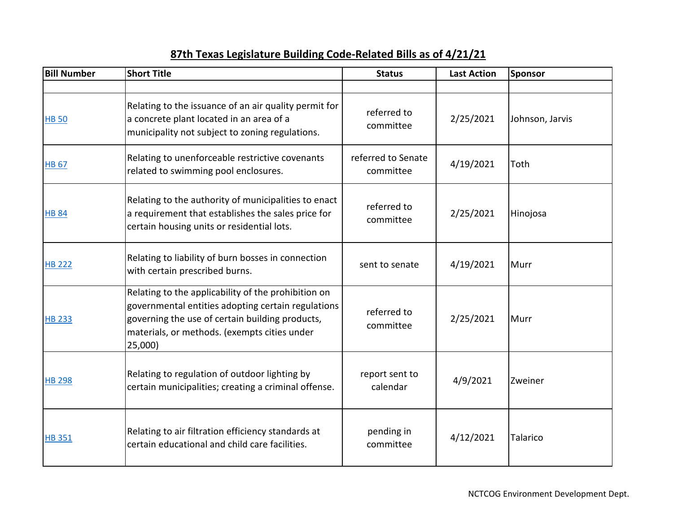| <b>Bill Number</b> | <b>Short Title</b>                                                                                                                                                                                                      | <b>Status</b>                   | <b>Last Action</b> | Sponsor         |
|--------------------|-------------------------------------------------------------------------------------------------------------------------------------------------------------------------------------------------------------------------|---------------------------------|--------------------|-----------------|
|                    |                                                                                                                                                                                                                         |                                 |                    |                 |
| <b>HB 50</b>       | Relating to the issuance of an air quality permit for<br>a concrete plant located in an area of a<br>municipality not subject to zoning regulations.                                                                    | referred to<br>committee        | 2/25/2021          | Johnson, Jarvis |
| <b>HB 67</b>       | Relating to unenforceable restrictive covenants<br>related to swimming pool enclosures.                                                                                                                                 | referred to Senate<br>committee | 4/19/2021          | Toth            |
| <b>HB 84</b>       | Relating to the authority of municipalities to enact<br>a requirement that establishes the sales price for<br>certain housing units or residential lots.                                                                | referred to<br>committee        | 2/25/2021          | Hinojosa        |
| <b>HB 222</b>      | Relating to liability of burn bosses in connection<br>with certain prescribed burns.                                                                                                                                    | sent to senate                  | 4/19/2021          | Murr            |
| <b>HB 233</b>      | Relating to the applicability of the prohibition on<br>governmental entities adopting certain regulations<br>governing the use of certain building products,<br>materials, or methods. (exempts cities under<br>25,000) | referred to<br>committee        | 2/25/2021          | Murr            |
| <b>HB 298</b>      | Relating to regulation of outdoor lighting by<br>certain municipalities; creating a criminal offense.                                                                                                                   | report sent to<br>calendar      | 4/9/2021           | Zweiner         |
| <b>HB351</b>       | Relating to air filtration efficiency standards at<br>certain educational and child care facilities.                                                                                                                    | pending in<br>committee         | 4/12/2021          | Talarico        |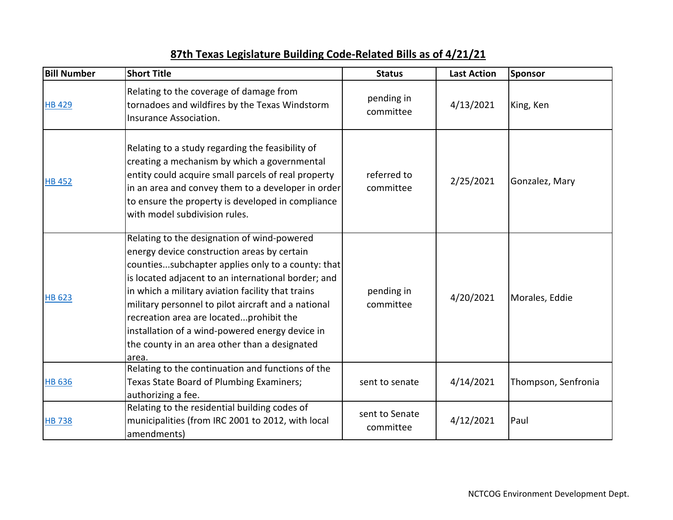| <b>Bill Number</b> | <b>Short Title</b>                                                                                                                                                                                                                                                                                                                                                                                                                                                         | <b>Status</b>               | <b>Last Action</b> | Sponsor             |
|--------------------|----------------------------------------------------------------------------------------------------------------------------------------------------------------------------------------------------------------------------------------------------------------------------------------------------------------------------------------------------------------------------------------------------------------------------------------------------------------------------|-----------------------------|--------------------|---------------------|
| <b>HB 429</b>      | Relating to the coverage of damage from<br>tornadoes and wildfires by the Texas Windstorm<br>Insurance Association.                                                                                                                                                                                                                                                                                                                                                        | pending in<br>committee     | 4/13/2021          | King, Ken           |
| <b>HB 452</b>      | Relating to a study regarding the feasibility of<br>creating a mechanism by which a governmental<br>entity could acquire small parcels of real property<br>in an area and convey them to a developer in order<br>to ensure the property is developed in compliance<br>with model subdivision rules.                                                                                                                                                                        | referred to<br>committee    | 2/25/2021          | Gonzalez, Mary      |
| <b>HB 623</b>      | Relating to the designation of wind-powered<br>energy device construction areas by certain<br>countiessubchapter applies only to a county: that<br>is located adjacent to an international border; and<br>in which a military aviation facility that trains<br>military personnel to pilot aircraft and a national<br>recreation area are locatedprohibit the<br>installation of a wind-powered energy device in<br>the county in an area other than a designated<br>area. | pending in<br>committee     | 4/20/2021          | Morales, Eddie      |
| <b>HB 636</b>      | Relating to the continuation and functions of the<br>Texas State Board of Plumbing Examiners;<br>authorizing a fee.                                                                                                                                                                                                                                                                                                                                                        | sent to senate              | 4/14/2021          | Thompson, Senfronia |
| <b>HB738</b>       | Relating to the residential building codes of<br>municipalities (from IRC 2001 to 2012, with local<br>amendments)                                                                                                                                                                                                                                                                                                                                                          | sent to Senate<br>committee | 4/12/2021          | Paul                |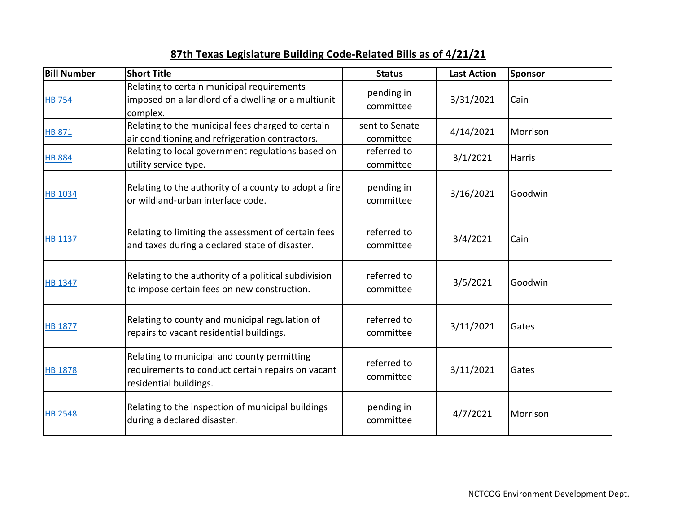| <b>Bill Number</b> | <b>Short Title</b>                                                                                                         | <b>Status</b>               | <b>Last Action</b> | <b>Sponsor</b> |
|--------------------|----------------------------------------------------------------------------------------------------------------------------|-----------------------------|--------------------|----------------|
| <b>HB 754</b>      | Relating to certain municipal requirements<br>imposed on a landlord of a dwelling or a multiunit<br>complex.               | pending in<br>committee     | 3/31/2021          | Cain           |
| <b>HB 871</b>      | Relating to the municipal fees charged to certain<br>air conditioning and refrigeration contractors.                       | sent to Senate<br>committee | 4/14/2021          | Morrison       |
| <b>HB 884</b>      | Relating to local government regulations based on<br>utility service type.                                                 | referred to<br>committee    | 3/1/2021           | <b>Harris</b>  |
| <b>HB 1034</b>     | Relating to the authority of a county to adopt a fire<br>or wildland-urban interface code.                                 | pending in<br>committee     | 3/16/2021          | Goodwin        |
| <b>HB 1137</b>     | Relating to limiting the assessment of certain fees<br>and taxes during a declared state of disaster.                      | referred to<br>committee    | 3/4/2021           | Cain           |
| <b>HB 1347</b>     | Relating to the authority of a political subdivision<br>to impose certain fees on new construction.                        | referred to<br>committee    | 3/5/2021           | Goodwin        |
| <b>HB 1877</b>     | Relating to county and municipal regulation of<br>repairs to vacant residential buildings.                                 | referred to<br>committee    | 3/11/2021          | Gates          |
| <b>HB 1878</b>     | Relating to municipal and county permitting<br>requirements to conduct certain repairs on vacant<br>residential buildings. | referred to<br>committee    | 3/11/2021          | Gates          |
| <b>HB 2548</b>     | Relating to the inspection of municipal buildings<br>during a declared disaster.                                           | pending in<br>committee     | 4/7/2021           | Morrison       |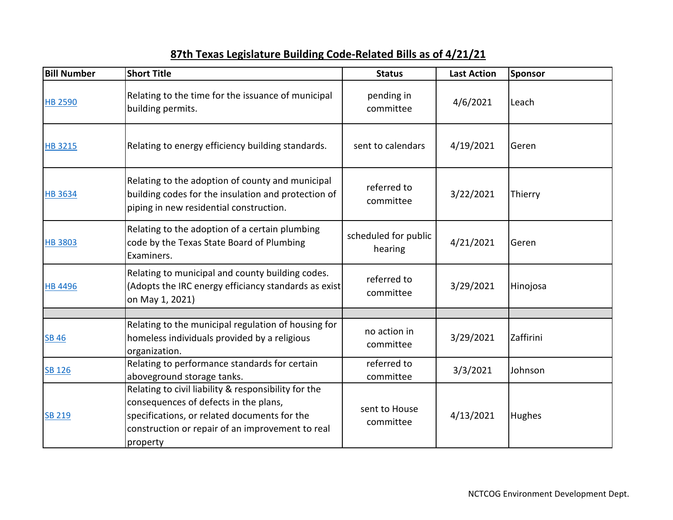| <b>Bill Number</b> | <b>Short Title</b>                                                                                                                                                                                            | <b>Status</b>                   | <b>Last Action</b> | Sponsor   |
|--------------------|---------------------------------------------------------------------------------------------------------------------------------------------------------------------------------------------------------------|---------------------------------|--------------------|-----------|
| <b>HB 2590</b>     | Relating to the time for the issuance of municipal<br>building permits.                                                                                                                                       | pending in<br>committee         | 4/6/2021           | Leach     |
| <b>HB 3215</b>     | Relating to energy efficiency building standards.                                                                                                                                                             | sent to calendars               | 4/19/2021          | Geren     |
| <b>HB 3634</b>     | Relating to the adoption of county and municipal<br>building codes for the insulation and protection of<br>piping in new residential construction.                                                            | referred to<br>committee        | 3/22/2021          | Thierry   |
| <b>HB 3803</b>     | Relating to the adoption of a certain plumbing<br>code by the Texas State Board of Plumbing<br>Examiners.                                                                                                     | scheduled for public<br>hearing | 4/21/2021          | Geren     |
| <b>HB 4496</b>     | Relating to municipal and county building codes.<br>(Adopts the IRC energy efficiancy standards as exist<br>on May 1, 2021)                                                                                   | referred to<br>committee        | 3/29/2021          | Hinojosa  |
|                    |                                                                                                                                                                                                               |                                 |                    |           |
| <b>SB 46</b>       | Relating to the municipal regulation of housing for<br>homeless individuals provided by a religious<br>organization.                                                                                          | no action in<br>committee       | 3/29/2021          | Zaffirini |
| <b>SB 126</b>      | Relating to performance standards for certain<br>aboveground storage tanks.                                                                                                                                   | referred to<br>committee        | 3/3/2021           | Johnson   |
| <b>SB 219</b>      | Relating to civil liability & responsibility for the<br>consequences of defects in the plans,<br>specifications, or related documents for the<br>construction or repair of an improvement to real<br>property | sent to House<br>committee      | 4/13/2021          | Hughes    |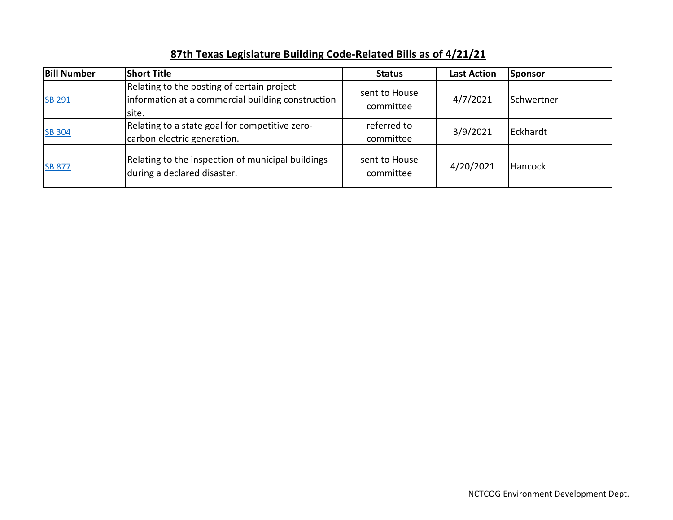| <b>Bill Number</b> | <b>Short Title</b>                                                                                       | <b>Status</b>              | <b>Last Action</b> | Sponsor    |
|--------------------|----------------------------------------------------------------------------------------------------------|----------------------------|--------------------|------------|
| <b>SB 291</b>      | Relating to the posting of certain project<br>information at a commercial building construction<br>site. | sent to House<br>committee | 4/7/2021           | Schwertner |
| <b>SB 304</b>      | Relating to a state goal for competitive zero-<br>carbon electric generation.                            | referred to<br>committee   | 3/9/2021           | Eckhardt   |
| <b>SB 877</b>      | Relating to the inspection of municipal buildings<br>during a declared disaster.                         | sent to House<br>committee | 4/20/2021          | Hancock    |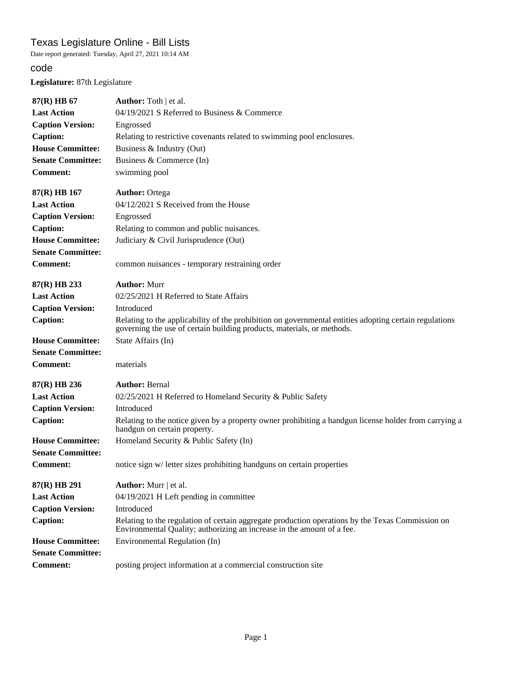Date report generated: Tuesday, April 27, 2021 10:14 AM

### code

**Legislature:** 87th Legislature

| 87(R) HB 67                                 | <b>Author:</b> Toth   et al.                                                                                                                                                     |
|---------------------------------------------|----------------------------------------------------------------------------------------------------------------------------------------------------------------------------------|
| <b>Last Action</b>                          | 04/19/2021 S Referred to Business & Commerce                                                                                                                                     |
| <b>Caption Version:</b>                     | Engrossed                                                                                                                                                                        |
| <b>Caption:</b>                             | Relating to restrictive covenants related to swimming pool enclosures.                                                                                                           |
| <b>House Committee:</b>                     | Business & Industry (Out)                                                                                                                                                        |
| <b>Senate Committee:</b>                    | Business & Commerce (In)                                                                                                                                                         |
| <b>Comment:</b>                             | swimming pool                                                                                                                                                                    |
| $87(R)$ HB 167                              | <b>Author: Ortega</b>                                                                                                                                                            |
| <b>Last Action</b>                          | 04/12/2021 S Received from the House                                                                                                                                             |
| <b>Caption Version:</b>                     | Engrossed                                                                                                                                                                        |
| <b>Caption:</b>                             | Relating to common and public nuisances.                                                                                                                                         |
| <b>House Committee:</b>                     | Judiciary & Civil Jurisprudence (Out)                                                                                                                                            |
| <b>Senate Committee:</b><br><b>Comment:</b> | common nuisances - temporary restraining order                                                                                                                                   |
| 87(R) HB 233                                | <b>Author: Murr</b>                                                                                                                                                              |
| <b>Last Action</b>                          | 02/25/2021 H Referred to State Affairs                                                                                                                                           |
| <b>Caption Version:</b>                     | Introduced                                                                                                                                                                       |
| <b>Caption:</b>                             | Relating to the applicability of the prohibition on governmental entities adopting certain regulations<br>governing the use of certain building products, materials, or methods. |
| <b>House Committee:</b>                     | State Affairs (In)                                                                                                                                                               |
| <b>Senate Committee:</b>                    |                                                                                                                                                                                  |
|                                             |                                                                                                                                                                                  |
| <b>Comment:</b>                             | materials                                                                                                                                                                        |
| 87(R) HB 236                                | <b>Author: Bernal</b>                                                                                                                                                            |
| <b>Last Action</b>                          | 02/25/2021 H Referred to Homeland Security & Public Safety                                                                                                                       |
| <b>Caption Version:</b>                     | Introduced                                                                                                                                                                       |
| <b>Caption:</b>                             | Relating to the notice given by a property owner prohibiting a handgun license holder from carrying a<br>handgun on certain property.                                            |
| <b>House Committee:</b>                     | Homeland Security & Public Safety (In)                                                                                                                                           |
| <b>Senate Committee:</b>                    |                                                                                                                                                                                  |
| <b>Comment:</b>                             | notice sign w/ letter sizes prohibiting handguns on certain properties                                                                                                           |
| 87(R) HB 291                                | <b>Author:</b> Murr   et al.                                                                                                                                                     |
| <b>Last Action</b>                          | 04/19/2021 H Left pending in committee                                                                                                                                           |
| <b>Caption Version:</b>                     | Introduced                                                                                                                                                                       |
| <b>Caption:</b>                             | Relating to the regulation of certain aggregate production operations by the Texas Commission on<br>Environmental Quality; authorizing an increase in the amount of a fee.       |
| <b>House Committee:</b>                     | Environmental Regulation (In)                                                                                                                                                    |
| <b>Senate Committee:</b>                    |                                                                                                                                                                                  |

 $\hat{\mathcal{L}}$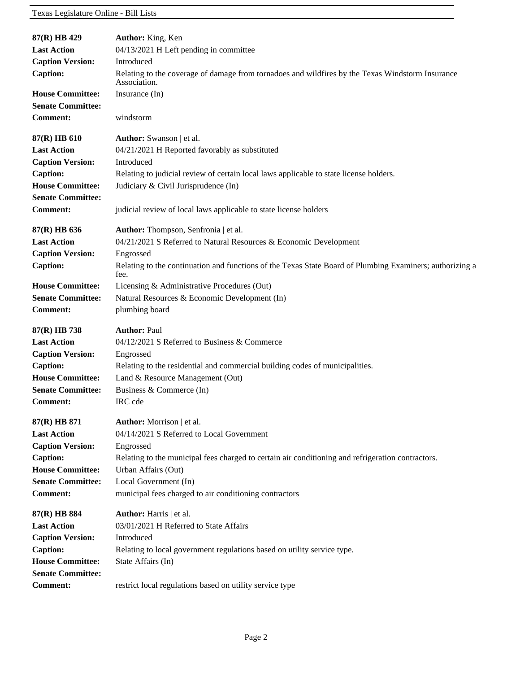| 87(R) HB 429                                | Author: King, Ken                                                                                                |
|---------------------------------------------|------------------------------------------------------------------------------------------------------------------|
| <b>Last Action</b>                          | 04/13/2021 H Left pending in committee                                                                           |
| <b>Caption Version:</b>                     | Introduced                                                                                                       |
| <b>Caption:</b>                             | Relating to the coverage of damage from tornadoes and wildfires by the Texas Windstorm Insurance<br>Association. |
| <b>House Committee:</b>                     | Insurance (In)                                                                                                   |
| <b>Senate Committee:</b>                    |                                                                                                                  |
| <b>Comment:</b>                             | windstorm                                                                                                        |
| 87(R) HB 610                                | <b>Author:</b> Swanson   et al.                                                                                  |
| <b>Last Action</b>                          | 04/21/2021 H Reported favorably as substituted                                                                   |
| <b>Caption Version:</b>                     | Introduced                                                                                                       |
| <b>Caption:</b>                             | Relating to judicial review of certain local laws applicable to state license holders.                           |
| <b>House Committee:</b>                     | Judiciary & Civil Jurisprudence (In)                                                                             |
| <b>Senate Committee:</b><br><b>Comment:</b> | judicial review of local laws applicable to state license holders                                                |
|                                             |                                                                                                                  |
| 87(R) HB 636                                | Author: Thompson, Senfronia   et al.                                                                             |
| <b>Last Action</b>                          | 04/21/2021 S Referred to Natural Resources & Economic Development                                                |
| <b>Caption Version:</b>                     | Engrossed                                                                                                        |
| <b>Caption:</b>                             | Relating to the continuation and functions of the Texas State Board of Plumbing Examiners; authorizing a<br>fee. |
| <b>House Committee:</b>                     | Licensing & Administrative Procedures (Out)                                                                      |
| <b>Senate Committee:</b>                    | Natural Resources & Economic Development (In)                                                                    |
| <b>Comment:</b>                             | plumbing board                                                                                                   |
| 87(R) HB 738                                | <b>Author: Paul</b>                                                                                              |
| <b>Last Action</b>                          | 04/12/2021 S Referred to Business & Commerce                                                                     |
| <b>Caption Version:</b>                     | Engrossed                                                                                                        |
| <b>Caption:</b>                             | Relating to the residential and commercial building codes of municipalities.                                     |
| <b>House Committee:</b>                     | Land & Resource Management (Out)                                                                                 |
| <b>Senate Committee:</b>                    | Business & Commerce (In)                                                                                         |
| <b>Comment:</b>                             | IRC cde                                                                                                          |
| 87(R) HB 871                                | Author: Morrison   et al.                                                                                        |
| <b>Last Action</b>                          | 04/14/2021 S Referred to Local Government                                                                        |
| <b>Caption Version:</b>                     | Engrossed                                                                                                        |
| Caption:                                    | Relating to the municipal fees charged to certain air conditioning and refrigeration contractors.                |
| <b>House Committee:</b>                     | Urban Affairs (Out)                                                                                              |
| <b>Senate Committee:</b>                    | Local Government (In)                                                                                            |
| <b>Comment:</b>                             | municipal fees charged to air conditioning contractors                                                           |
| 87(R) HB 884                                | Author: Harris   et al.                                                                                          |
| <b>Last Action</b>                          | 03/01/2021 H Referred to State Affairs                                                                           |
| <b>Caption Version:</b>                     | Introduced                                                                                                       |
| <b>Caption:</b>                             | Relating to local government regulations based on utility service type.                                          |
| <b>House Committee:</b>                     | State Affairs (In)                                                                                               |
| <b>Senate Committee:</b>                    |                                                                                                                  |
| <b>Comment:</b>                             | restrict local regulations based on utility service type                                                         |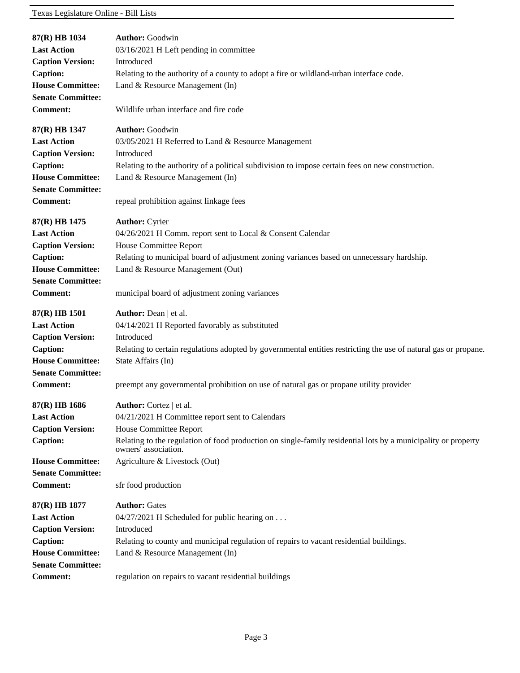| 87(R) HB 1034            | <b>Author:</b> Goodwin                                                                                                                |
|--------------------------|---------------------------------------------------------------------------------------------------------------------------------------|
| <b>Last Action</b>       | 03/16/2021 H Left pending in committee                                                                                                |
| <b>Caption Version:</b>  | Introduced                                                                                                                            |
| <b>Caption:</b>          | Relating to the authority of a county to adopt a fire or wildland-urban interface code.                                               |
| <b>House Committee:</b>  | Land & Resource Management (In)                                                                                                       |
| <b>Senate Committee:</b> |                                                                                                                                       |
| <b>Comment:</b>          | Wildlife urban interface and fire code                                                                                                |
| 87(R) HB 1347            | <b>Author: Goodwin</b>                                                                                                                |
| <b>Last Action</b>       | 03/05/2021 H Referred to Land & Resource Management                                                                                   |
| <b>Caption Version:</b>  | Introduced                                                                                                                            |
| <b>Caption:</b>          | Relating to the authority of a political subdivision to impose certain fees on new construction.                                      |
| <b>House Committee:</b>  | Land & Resource Management (In)                                                                                                       |
| <b>Senate Committee:</b> |                                                                                                                                       |
| <b>Comment:</b>          | repeal prohibition against linkage fees                                                                                               |
| 87(R) HB 1475            | <b>Author: Cyrier</b>                                                                                                                 |
| <b>Last Action</b>       | 04/26/2021 H Comm. report sent to Local & Consent Calendar                                                                            |
| <b>Caption Version:</b>  | House Committee Report                                                                                                                |
| <b>Caption:</b>          | Relating to municipal board of adjustment zoning variances based on unnecessary hardship.                                             |
| <b>House Committee:</b>  | Land & Resource Management (Out)                                                                                                      |
| <b>Senate Committee:</b> |                                                                                                                                       |
| <b>Comment:</b>          | municipal board of adjustment zoning variances                                                                                        |
|                          |                                                                                                                                       |
| 87(R) HB 1501            | <b>Author:</b> Dean   et al.                                                                                                          |
| <b>Last Action</b>       | 04/14/2021 H Reported favorably as substituted                                                                                        |
| <b>Caption Version:</b>  | Introduced                                                                                                                            |
| <b>Caption:</b>          | Relating to certain regulations adopted by governmental entities restricting the use of natural gas or propane.                       |
| <b>House Committee:</b>  | State Affairs (In)                                                                                                                    |
| <b>Senate Committee:</b> |                                                                                                                                       |
| <b>Comment:</b>          | preempt any governmental prohibition on use of natural gas or propane utility provider                                                |
| 87(R) HB 1686            | <b>Author:</b> Cortez   et al.                                                                                                        |
| <b>Last Action</b>       | 04/21/2021 H Committee report sent to Calendars                                                                                       |
| <b>Caption Version:</b>  | House Committee Report                                                                                                                |
| <b>Caption:</b>          | Relating to the regulation of food production on single-family residential lots by a municipality or property<br>owners' association. |
| <b>House Committee:</b>  | Agriculture & Livestock (Out)                                                                                                         |
| <b>Senate Committee:</b> |                                                                                                                                       |
| <b>Comment:</b>          | sfr food production                                                                                                                   |
| 87(R) HB 1877            | <b>Author: Gates</b>                                                                                                                  |
| <b>Last Action</b>       | 04/27/2021 H Scheduled for public hearing on                                                                                          |
| <b>Caption Version:</b>  | Introduced                                                                                                                            |
| <b>Caption:</b>          | Relating to county and municipal regulation of repairs to vacant residential buildings.                                               |
| <b>House Committee:</b>  | Land & Resource Management (In)                                                                                                       |
| <b>Senate Committee:</b> |                                                                                                                                       |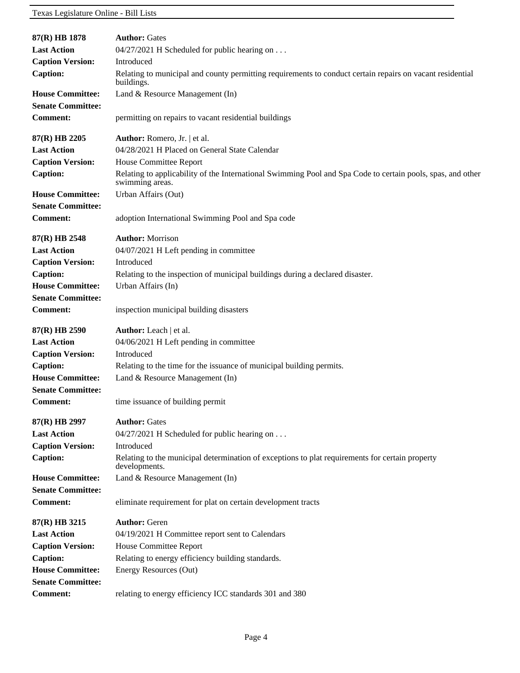| 87(R) HB 1878                                       | <b>Author: Gates</b>                                                                                                           |
|-----------------------------------------------------|--------------------------------------------------------------------------------------------------------------------------------|
| <b>Last Action</b>                                  | 04/27/2021 H Scheduled for public hearing on                                                                                   |
| <b>Caption Version:</b>                             | Introduced                                                                                                                     |
| <b>Caption:</b>                                     | Relating to municipal and county permitting requirements to conduct certain repairs on vacant residential<br>buildings.        |
| <b>House Committee:</b><br><b>Senate Committee:</b> | Land & Resource Management (In)                                                                                                |
| <b>Comment:</b>                                     | permitting on repairs to vacant residential buildings                                                                          |
| 87(R) HB 2205                                       | Author: Romero, Jr.   et al.                                                                                                   |
| <b>Last Action</b>                                  | 04/28/2021 H Placed on General State Calendar                                                                                  |
| <b>Caption Version:</b>                             | House Committee Report                                                                                                         |
| <b>Caption:</b>                                     | Relating to applicability of the International Swimming Pool and Spa Code to certain pools, spas, and other<br>swimming areas. |
| <b>House Committee:</b>                             | Urban Affairs (Out)                                                                                                            |
| <b>Senate Committee:</b>                            |                                                                                                                                |
| <b>Comment:</b>                                     | adoption International Swimming Pool and Spa code                                                                              |
| $87(R)$ HB 2548                                     | <b>Author: Morrison</b>                                                                                                        |
| <b>Last Action</b>                                  | 04/07/2021 H Left pending in committee                                                                                         |
| <b>Caption Version:</b>                             | Introduced                                                                                                                     |
| <b>Caption:</b>                                     | Relating to the inspection of municipal buildings during a declared disaster.                                                  |
| <b>House Committee:</b>                             | Urban Affairs (In)                                                                                                             |
| <b>Senate Committee:</b>                            |                                                                                                                                |
| <b>Comment:</b>                                     | inspection municipal building disasters                                                                                        |
| 87(R) HB 2590                                       | <b>Author:</b> Leach   et al.                                                                                                  |
| <b>Last Action</b>                                  | 04/06/2021 H Left pending in committee                                                                                         |
| <b>Caption Version:</b>                             | Introduced                                                                                                                     |
| <b>Caption:</b>                                     | Relating to the time for the issuance of municipal building permits.                                                           |
| <b>House Committee:</b>                             | Land & Resource Management (In)                                                                                                |
| <b>Senate Committee:</b>                            |                                                                                                                                |
| <b>Comment:</b>                                     | time issuance of building permit                                                                                               |
| 87(R) HB 2997                                       | <b>Author: Gates</b>                                                                                                           |
| <b>Last Action</b>                                  | 04/27/2021 H Scheduled for public hearing on                                                                                   |
| <b>Caption Version:</b>                             | Introduced                                                                                                                     |
| <b>Caption:</b>                                     | Relating to the municipal determination of exceptions to plat requirements for certain property<br>developments.               |
| <b>House Committee:</b>                             | Land & Resource Management (In)                                                                                                |
| <b>Senate Committee:</b>                            |                                                                                                                                |
| <b>Comment:</b>                                     | eliminate requirement for plat on certain development tracts                                                                   |
| 87(R) HB 3215                                       | <b>Author: Geren</b>                                                                                                           |
| <b>Last Action</b>                                  | 04/19/2021 H Committee report sent to Calendars                                                                                |
| <b>Caption Version:</b>                             | House Committee Report                                                                                                         |
| <b>Caption:</b>                                     | Relating to energy efficiency building standards.                                                                              |
| <b>House Committee:</b>                             | Energy Resources (Out)                                                                                                         |
| <b>Senate Committee:</b>                            |                                                                                                                                |
| <b>Comment:</b>                                     | relating to energy efficiency ICC standards 301 and 380                                                                        |
|                                                     |                                                                                                                                |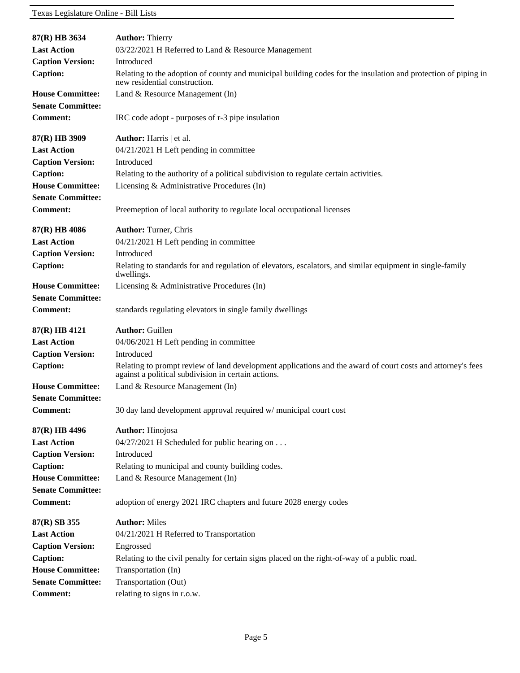| 87(R) HB 3634                                       | <b>Author: Thierry</b>                                                                                                                                             |
|-----------------------------------------------------|--------------------------------------------------------------------------------------------------------------------------------------------------------------------|
| <b>Last Action</b>                                  | 03/22/2021 H Referred to Land & Resource Management                                                                                                                |
| <b>Caption Version:</b>                             | Introduced                                                                                                                                                         |
| <b>Caption:</b>                                     | Relating to the adoption of county and municipal building codes for the insulation and protection of piping in<br>new residential construction.                    |
| <b>House Committee:</b><br><b>Senate Committee:</b> | Land & Resource Management (In)                                                                                                                                    |
| <b>Comment:</b>                                     | IRC code adopt - purposes of r-3 pipe insulation                                                                                                                   |
| 87(R) HB 3909                                       | Author: Harris   et al.                                                                                                                                            |
| <b>Last Action</b>                                  | 04/21/2021 H Left pending in committee                                                                                                                             |
| <b>Caption Version:</b>                             | Introduced                                                                                                                                                         |
| <b>Caption:</b>                                     | Relating to the authority of a political subdivision to regulate certain activities.                                                                               |
| <b>House Committee:</b><br><b>Senate Committee:</b> | Licensing & Administrative Procedures (In)                                                                                                                         |
| <b>Comment:</b>                                     | Preemeption of local authority to regulate local occupational licenses                                                                                             |
| 87(R) HB 4086                                       | <b>Author: Turner, Chris</b>                                                                                                                                       |
| <b>Last Action</b>                                  | 04/21/2021 H Left pending in committee                                                                                                                             |
| <b>Caption Version:</b>                             | Introduced                                                                                                                                                         |
| <b>Caption:</b>                                     | Relating to standards for and regulation of elevators, escalators, and similar equipment in single-family<br>dwellings.                                            |
| <b>House Committee:</b><br><b>Senate Committee:</b> | Licensing & Administrative Procedures (In)                                                                                                                         |
| <b>Comment:</b>                                     | standards regulating elevators in single family dwellings                                                                                                          |
| 87(R) HB 4121                                       | <b>Author: Guillen</b>                                                                                                                                             |
| <b>Last Action</b>                                  | 04/06/2021 H Left pending in committee                                                                                                                             |
| <b>Caption Version:</b>                             | Introduced                                                                                                                                                         |
| <b>Caption:</b>                                     | Relating to prompt review of land development applications and the award of court costs and attorney's fees<br>against a political subdivision in certain actions. |
| <b>House Committee:</b>                             | Land & Resource Management (In)                                                                                                                                    |
| <b>Senate Committee:</b>                            |                                                                                                                                                                    |
| <b>Comment:</b>                                     | 30 day land development approval required w/ municipal court cost                                                                                                  |
| 87(R) HB 4496                                       | <b>Author:</b> Hinojosa                                                                                                                                            |
| <b>Last Action</b>                                  | 04/27/2021 H Scheduled for public hearing on                                                                                                                       |
| <b>Caption Version:</b>                             | Introduced                                                                                                                                                         |
| <b>Caption:</b>                                     | Relating to municipal and county building codes.                                                                                                                   |
| <b>House Committee:</b>                             | Land & Resource Management (In)                                                                                                                                    |
| <b>Senate Committee:</b>                            |                                                                                                                                                                    |
| <b>Comment:</b>                                     | adoption of energy 2021 IRC chapters and future 2028 energy codes                                                                                                  |
| 87(R) SB 355                                        | <b>Author: Miles</b>                                                                                                                                               |
| <b>Last Action</b>                                  | 04/21/2021 H Referred to Transportation                                                                                                                            |
| <b>Caption Version:</b>                             | Engrossed                                                                                                                                                          |
| Caption:                                            | Relating to the civil penalty for certain signs placed on the right-of-way of a public road.                                                                       |
| <b>House Committee:</b>                             | Transportation (In)                                                                                                                                                |
| <b>Senate Committee:</b>                            | Transportation (Out)                                                                                                                                               |
| <b>Comment:</b>                                     | relating to signs in r.o.w.                                                                                                                                        |
|                                                     |                                                                                                                                                                    |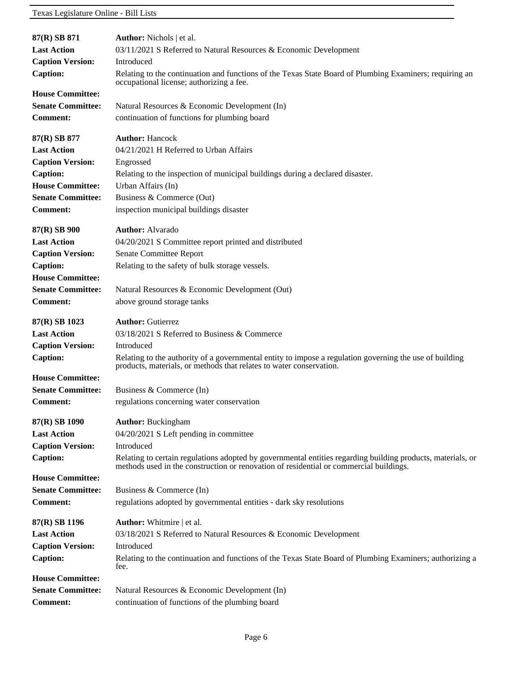| 87(R) SB 871             | <b>Author:</b> Nichols   et al.                                                                                                                                                                       |
|--------------------------|-------------------------------------------------------------------------------------------------------------------------------------------------------------------------------------------------------|
| <b>Last Action</b>       | 03/11/2021 S Referred to Natural Resources & Economic Development                                                                                                                                     |
| <b>Caption Version:</b>  | Introduced                                                                                                                                                                                            |
| <b>Caption:</b>          | Relating to the continuation and functions of the Texas State Board of Plumbing Examiners; requiring an<br>occupational license; authorizing a fee.                                                   |
| <b>House Committee:</b>  |                                                                                                                                                                                                       |
| <b>Senate Committee:</b> | Natural Resources & Economic Development (In)                                                                                                                                                         |
| <b>Comment:</b>          | continuation of functions for plumbing board                                                                                                                                                          |
| 87(R) SB 877             | <b>Author: Hancock</b>                                                                                                                                                                                |
| <b>Last Action</b>       | 04/21/2021 H Referred to Urban Affairs                                                                                                                                                                |
| <b>Caption Version:</b>  | Engrossed                                                                                                                                                                                             |
| <b>Caption:</b>          | Relating to the inspection of municipal buildings during a declared disaster.                                                                                                                         |
| <b>House Committee:</b>  | Urban Affairs (In)                                                                                                                                                                                    |
| <b>Senate Committee:</b> | Business & Commerce (Out)                                                                                                                                                                             |
| <b>Comment:</b>          | inspection municipal buildings disaster                                                                                                                                                               |
| 87(R) SB 900             | <b>Author:</b> Alvarado                                                                                                                                                                               |
| <b>Last Action</b>       | 04/20/2021 S Committee report printed and distributed                                                                                                                                                 |
| <b>Caption Version:</b>  | Senate Committee Report                                                                                                                                                                               |
| <b>Caption:</b>          | Relating to the safety of bulk storage vessels.                                                                                                                                                       |
| <b>House Committee:</b>  |                                                                                                                                                                                                       |
| <b>Senate Committee:</b> | Natural Resources & Economic Development (Out)                                                                                                                                                        |
| <b>Comment:</b>          | above ground storage tanks                                                                                                                                                                            |
| 87(R) SB 1023            | <b>Author: Gutierrez</b>                                                                                                                                                                              |
| <b>Last Action</b>       | 03/18/2021 S Referred to Business & Commerce                                                                                                                                                          |
| <b>Caption Version:</b>  | Introduced                                                                                                                                                                                            |
| <b>Caption:</b>          | Relating to the authority of a governmental entity to impose a regulation governing the use of building<br>products, materials, or methods that relates to water conservation.                        |
| <b>House Committee:</b>  |                                                                                                                                                                                                       |
| <b>Senate Committee:</b> | Business & Commerce $(In)$                                                                                                                                                                            |
| <b>Comment:</b>          | regulations concerning water conservation                                                                                                                                                             |
| 87(R) SB 1090            | <b>Author: Buckingham</b>                                                                                                                                                                             |
| <b>Last Action</b>       | 04/20/2021 S Left pending in committee                                                                                                                                                                |
| <b>Caption Version:</b>  | Introduced                                                                                                                                                                                            |
| <b>Caption:</b>          | Relating to certain regulations adopted by governmental entities regarding building products, materials, or<br>methods used in the construction or renovation of residential or commercial buildings. |
| <b>House Committee:</b>  |                                                                                                                                                                                                       |
| <b>Senate Committee:</b> | Business & Commerce (In)                                                                                                                                                                              |
| <b>Comment:</b>          | regulations adopted by governmental entities - dark sky resolutions                                                                                                                                   |
| 87(R) SB 1196            | <b>Author:</b> Whitmire   et al.                                                                                                                                                                      |
| <b>Last Action</b>       | 03/18/2021 S Referred to Natural Resources & Economic Development                                                                                                                                     |
| <b>Caption Version:</b>  | Introduced                                                                                                                                                                                            |
| <b>Caption:</b>          | Relating to the continuation and functions of the Texas State Board of Plumbing Examiners; authorizing a<br>fee.                                                                                      |
| <b>House Committee:</b>  |                                                                                                                                                                                                       |
| <b>Senate Committee:</b> | Natural Resources & Economic Development (In)                                                                                                                                                         |
| <b>Comment:</b>          | continuation of functions of the plumbing board                                                                                                                                                       |